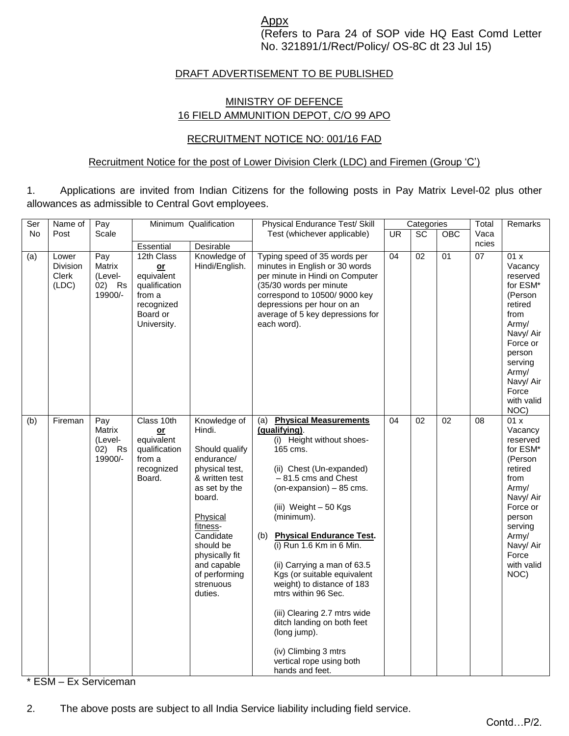Appx

(Refers to Para 24 of SOP vide HQ East Comd Letter No. 321891/1/Rect/Policy/ OS-8C dt 23 Jul 15)

## DRAFT ADVERTISEMENT TO BE PUBLISHED

## MINISTRY OF DEFENCE 16 FIELD AMMUNITION DEPOT, C/O 99 APO

## RECRUITMENT NOTICE NO: 001/16 FAD

#### Recruitment Notice for the post of Lower Division Clerk (LDC) and Firemen (Group 'C')

1. Applications are invited from Indian Citizens for the following posts in Pay Matrix Level-02 plus other allowances as admissible to Central Govt employees.

| Ser | Name of                                    | Pay                                           | Minimum Qualification                                                                                |                                                                                                                                                                                                                                                   | Physical Endurance Test/ Skill                                                                                                                                                                                                                                                                                                                                                                                                                                                                                                                                | Categories |                 |                 | Total           | Remarks                                                                                                                                                                           |
|-----|--------------------------------------------|-----------------------------------------------|------------------------------------------------------------------------------------------------------|---------------------------------------------------------------------------------------------------------------------------------------------------------------------------------------------------------------------------------------------------|---------------------------------------------------------------------------------------------------------------------------------------------------------------------------------------------------------------------------------------------------------------------------------------------------------------------------------------------------------------------------------------------------------------------------------------------------------------------------------------------------------------------------------------------------------------|------------|-----------------|-----------------|-----------------|-----------------------------------------------------------------------------------------------------------------------------------------------------------------------------------|
| No  | Post                                       | Scale                                         |                                                                                                      |                                                                                                                                                                                                                                                   | Test (whichever applicable)                                                                                                                                                                                                                                                                                                                                                                                                                                                                                                                                   | <b>UR</b>  | $\overline{SC}$ | <b>OBC</b>      | Vaca            |                                                                                                                                                                                   |
|     |                                            |                                               | Essential                                                                                            | Desirable                                                                                                                                                                                                                                         |                                                                                                                                                                                                                                                                                                                                                                                                                                                                                                                                                               |            |                 |                 | ncies           |                                                                                                                                                                                   |
| (a) | Lower<br><b>Division</b><br>Clerk<br>(LDC) | Pay<br>Matrix<br>(Level-<br>02) Rs<br>19900/- | 12th Class<br>$or$<br>equivalent<br>qualification<br>from a<br>recognized<br>Board or<br>University. | Knowledge of<br>Hindi/English.                                                                                                                                                                                                                    | Typing speed of 35 words per<br>minutes in English or 30 words<br>per minute in Hindi on Computer<br>(35/30 words per minute<br>correspond to 10500/9000 key<br>depressions per hour on an<br>average of 5 key depressions for<br>each word).                                                                                                                                                                                                                                                                                                                 | 04         | 02              | 01              | $\overline{07}$ | 01x<br>Vacancy<br>reserved<br>for ESM*<br>(Person<br>retired<br>from<br>Army/<br>Navy/ Air<br>Force or<br>person<br>serving<br>Army/<br>Navy/ Air<br>Force<br>with valid<br>NOC)  |
| (b) | Fireman                                    | Pay<br>Matrix<br>(Level-<br>02) Rs<br>19900/- | Class 10th<br>$or$<br>equivalent<br>qualification<br>from a<br>recognized<br>Board.                  | Knowledge of<br>Hindi.<br>Should qualify<br>endurance/<br>physical test,<br>& written test<br>as set by the<br>board.<br>Physical<br>fitness-<br>Candidate<br>should be<br>physically fit<br>and capable<br>of performing<br>strenuous<br>duties. | (a) Physical Measurements<br>(qualifying).<br>(i) Height without shoes-<br>165 cms.<br>(ii) Chest (Un-expanded)<br>-81.5 cms and Chest<br>$($ on-expansion $)$ – 85 cms.<br>(iii) Weight - 50 Kgs<br>(minimum).<br><b>Physical Endurance Test.</b><br>(b)<br>(i) Run 1.6 Km in 6 Min.<br>(ii) Carrying a man of 63.5<br>Kgs (or suitable equivalent<br>weight) to distance of 183<br>mtrs within 96 Sec.<br>(iii) Clearing 2.7 mtrs wide<br>ditch landing on both feet<br>(long jump).<br>(iv) Climbing 3 mtrs<br>vertical rope using both<br>hands and feet. | 04         | $\overline{02}$ | $\overline{02}$ | $\overline{08}$ | 01 x<br>Vacancy<br>reserved<br>for ESM*<br>(Person<br>retired<br>from<br>Army/<br>Navy/ Air<br>Force or<br>person<br>serving<br>Army/<br>Navy/ Air<br>Force<br>with valid<br>NOC) |

\* ESM – Ex Serviceman

2. The above posts are subject to all India Service liability including field service.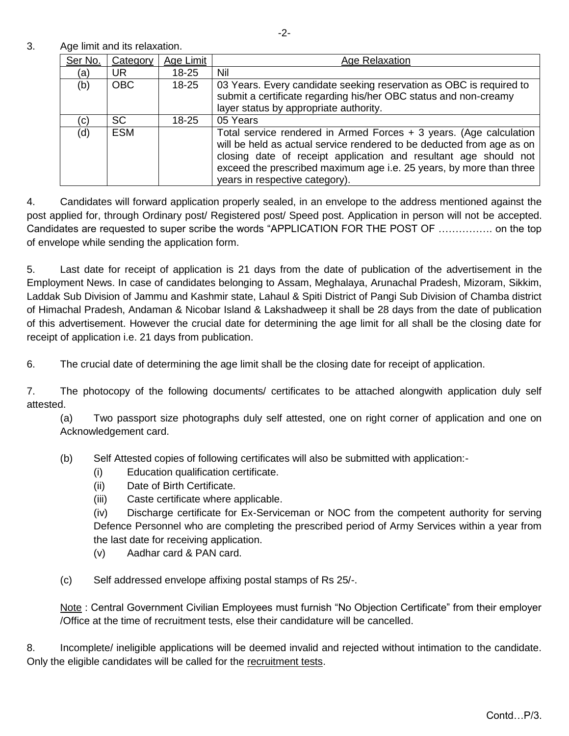3. Age limit and its relaxation.

| Ser No. | Category   | Age Limit | <b>Age Relaxation</b>                                                                                                                                                                                                                                                                                                      |
|---------|------------|-----------|----------------------------------------------------------------------------------------------------------------------------------------------------------------------------------------------------------------------------------------------------------------------------------------------------------------------------|
| (a)     | UR.        | 18-25     | Nil                                                                                                                                                                                                                                                                                                                        |
| (b)     | <b>OBC</b> | 18-25     | 03 Years. Every candidate seeking reservation as OBC is required to<br>submit a certificate regarding his/her OBC status and non-creamy<br>layer status by appropriate authority.                                                                                                                                          |
| (c)     | <b>SC</b>  | 18-25     | 05 Years                                                                                                                                                                                                                                                                                                                   |
| (d)     | <b>ESM</b> |           | Total service rendered in Armed Forces $+$ 3 years. (Age calculation<br>will be held as actual service rendered to be deducted from age as on<br>closing date of receipt application and resultant age should not<br>exceed the prescribed maximum age i.e. 25 years, by more than three<br>years in respective category). |

4. Candidates will forward application properly sealed, in an envelope to the address mentioned against the post applied for, through Ordinary post/ Registered post/ Speed post. Application in person will not be accepted. Candidates are requested to super scribe the words "APPLICATION FOR THE POST OF ……………. on the top of envelope while sending the application form.

5. Last date for receipt of application is 21 days from the date of publication of the advertisement in the Employment News. In case of candidates belonging to Assam, Meghalaya, Arunachal Pradesh, Mizoram, Sikkim, Laddak Sub Division of Jammu and Kashmir state, Lahaul & Spiti District of Pangi Sub Division of Chamba district of Himachal Pradesh, Andaman & Nicobar Island & Lakshadweep it shall be 28 days from the date of publication of this advertisement. However the crucial date for determining the age limit for all shall be the closing date for receipt of application i.e. 21 days from publication.

6. The crucial date of determining the age limit shall be the closing date for receipt of application.

7. The photocopy of the following documents/ certificates to be attached alongwith application duly self attested.

(a) Two passport size photographs duly self attested, one on right corner of application and one on Acknowledgement card.

- (b) Self Attested copies of following certificates will also be submitted with application:-
	- (i) Education qualification certificate.
	- (ii) Date of Birth Certificate.
	- (iii) Caste certificate where applicable.

(iv) Discharge certificate for Ex-Serviceman or NOC from the competent authority for serving Defence Personnel who are completing the prescribed period of Army Services within a year from the last date for receiving application.

(v) Aadhar card & PAN card.

(c) Self addressed envelope affixing postal stamps of Rs 25/-.

Note: Central Government Civilian Employees must furnish "No Objection Certificate" from their employer /Office at the time of recruitment tests, else their candidature will be cancelled.

8. Incomplete/ ineligible applications will be deemed invalid and rejected without intimation to the candidate. Only the eligible candidates will be called for the recruitment tests.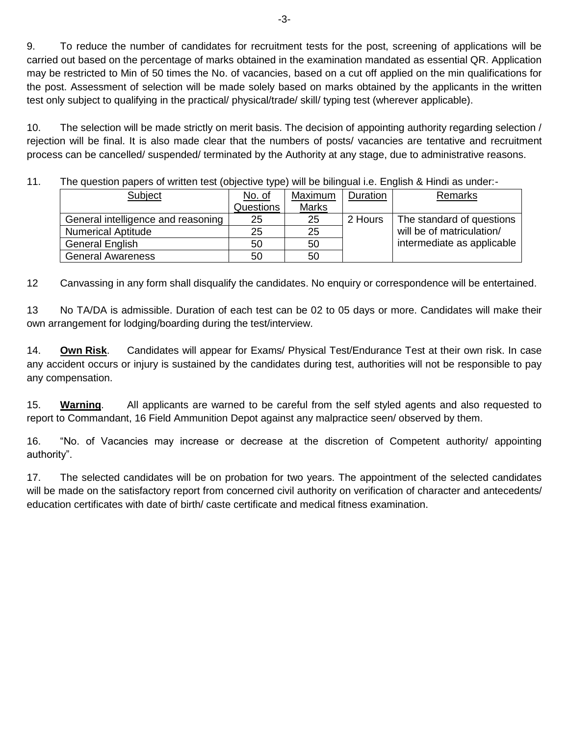9. To reduce the number of candidates for recruitment tests for the post, screening of applications will be carried out based on the percentage of marks obtained in the examination mandated as essential QR. Application may be restricted to Min of 50 times the No. of vacancies, based on a cut off applied on the min qualifications for the post. Assessment of selection will be made solely based on marks obtained by the applicants in the written test only subject to qualifying in the practical/ physical/trade/ skill/ typing test (wherever applicable).

10. The selection will be made strictly on merit basis. The decision of appointing authority regarding selection / rejection will be final. It is also made clear that the numbers of posts/ vacancies are tentative and recruitment process can be cancelled/ suspended/ terminated by the Authority at any stage, due to administrative reasons.

11. The question papers of written test (objective type) will be bilingual i.e. English & Hindi as under:-

| Subject                            | No. of           | Maximum      | Duration | Remarks                    |
|------------------------------------|------------------|--------------|----------|----------------------------|
|                                    | <b>Questions</b> | <b>Marks</b> |          |                            |
| General intelligence and reasoning | 25               | 25           | 2 Hours  | The standard of questions  |
| <b>Numerical Aptitude</b>          | 25               | 25           |          | will be of matriculation/  |
| <b>General English</b>             | 50               | 50           |          | intermediate as applicable |
| <b>General Awareness</b>           | 50               | 50           |          |                            |

12 Canvassing in any form shall disqualify the candidates. No enquiry or correspondence will be entertained.

13 No TA/DA is admissible. Duration of each test can be 02 to 05 days or more. Candidates will make their own arrangement for lodging/boarding during the test/interview.

14. **Own Risk**. Candidates will appear for Exams/ Physical Test/Endurance Test at their own risk. In case any accident occurs or injury is sustained by the candidates during test, authorities will not be responsible to pay any compensation.

15. **Warning**. All applicants are warned to be careful from the self styled agents and also requested to report to Commandant, 16 Field Ammunition Depot against any malpractice seen/ observed by them.

16. "No. of Vacancies may increase or decrease at the discretion of Competent authority/ appointing authority".

17. The selected candidates will be on probation for two years. The appointment of the selected candidates will be made on the satisfactory report from concerned civil authority on verification of character and antecedents/ education certificates with date of birth/ caste certificate and medical fitness examination.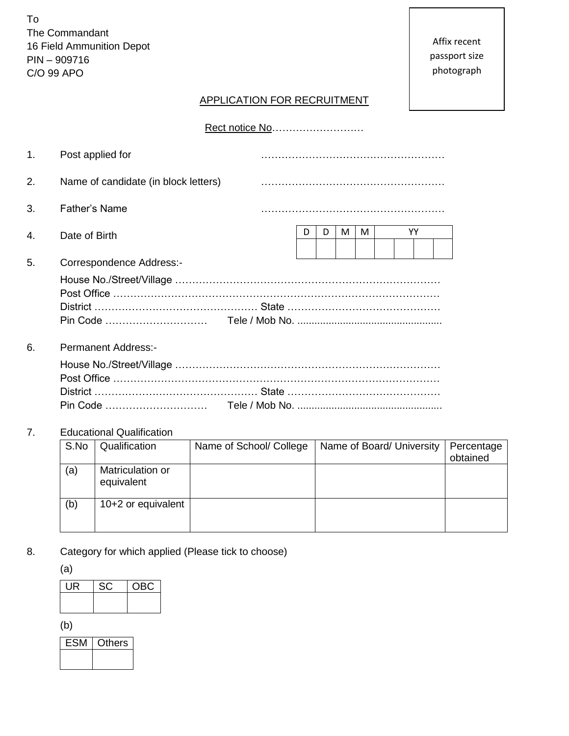To The Commandant 16 Field Ammunition Depot PIN – 909716 C/O 99 APO

# APPLICATION FOR RECRUITMENT

|  | Rect notice No |
|--|----------------|
|--|----------------|

| 1. | Post applied for                     |                        |
|----|--------------------------------------|------------------------|
| 2. | Name of candidate (in block letters) |                        |
| 3. | <b>Father's Name</b>                 |                        |
| 4. | Date of Birth                        | YY<br>D<br>M<br>м<br>D |
| 5. | Correspondence Address:-             |                        |
| 6. | Permanent Address:-                  |                        |
|    |                                      |                        |

# 7. Educational Qualification

| S.No | Qualification                  | Name of School/ College | Name of Board/ University | Percentage<br>obtained |
|------|--------------------------------|-------------------------|---------------------------|------------------------|
| (a)  | Matriculation or<br>equivalent |                         |                           |                        |
| (b)  | 10+2 or equivalent             |                         |                           |                        |

8. Category for which applied (Please tick to choose)

(a)

| UR | SC. | OBC. |
|----|-----|------|
|    |     |      |
|    |     |      |

(b)

| ∖thers |
|--------|
|        |
|        |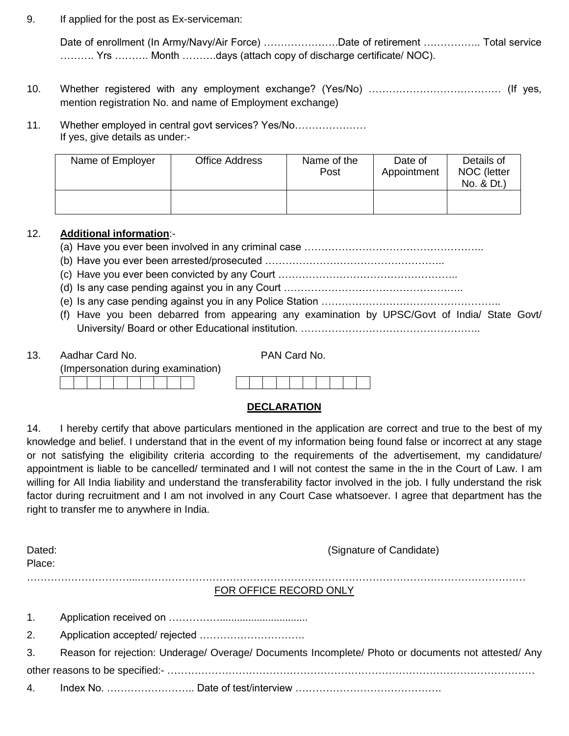9. If applied for the post as Ex-serviceman:

Date of enrollment (In Army/Navy/Air Force) ……………………Date of retirement ………………… Total service ………. Yrs ………. Month ……….days (attach copy of discharge certificate/ NOC).

- 10. Whether registered with any employment exchange? (Yes/No) ………………………………… (If yes, mention registration No. and name of Employment exchange)
- 11. Whether employed in central govt services? Yes/No………………… If yes, give details as under:-

| Name of Employer | <b>Office Address</b> | Name of the<br>Post | Date of<br>Appointment | Details of<br>NOC (letter<br>No. & Dt.) |
|------------------|-----------------------|---------------------|------------------------|-----------------------------------------|
|                  |                       |                     |                        |                                         |

## 12. **Additional information**:-

(a) Have you ever been involved in any criminal case ……………………………………………..

- (b) Have you ever been arrested/prosecuted ……………………………………………..
- (c) Have you ever been convicted by any Court ……………………………………………..
- (d) Is any case pending against you in any Court ……………………………………………..
- (e) Is any case pending against you in any Police Station ……………………………………………..
- (f) Have you been debarred from appearing any examination by UPSC/Govt of India/ State Govt/ University/ Board or other Educational institution. ……………………………………………..

13. Aadhar Card No. PAN Card No.

|  |  |  |  |  | (Impersonation during examination) |
|--|--|--|--|--|------------------------------------|
|  |  |  |  |  |                                    |

# **DECLARATION**

14. I hereby certify that above particulars mentioned in the application are correct and true to the best of my knowledge and belief. I understand that in the event of my information being found false or incorrect at any stage or not satisfying the eligibility criteria according to the requirements of the advertisement, my candidature/ appointment is liable to be cancelled/ terminated and I will not contest the same in the in the Court of Law. I am willing for All India liability and understand the transferability factor involved in the job. I fully understand the risk factor during recruitment and I am not involved in any Court Case whatsoever. I agree that department has the right to transfer me to anywhere in India.

| Dated:         | (Signature of Candidate)                                                                            |
|----------------|-----------------------------------------------------------------------------------------------------|
| Place:         |                                                                                                     |
|                | FOR OFFICE RECORD ONLY                                                                              |
| 1.             |                                                                                                     |
| 2.             |                                                                                                     |
| 3 <sub>1</sub> | Reason for rejection: Underage/ Overage/ Documents Incomplete/ Photo or documents not attested/ Any |
|                |                                                                                                     |
| 4.             |                                                                                                     |